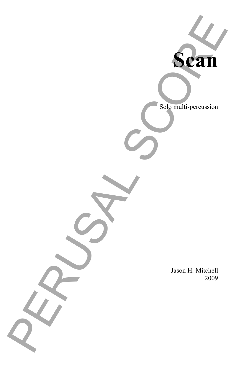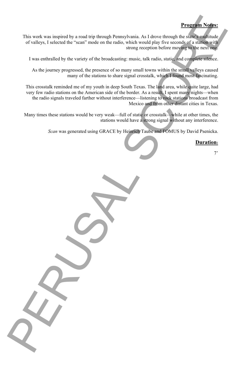

# **Program Notes:**

This work was inspired by a road trip through Pennsylvania. As I drove through the state's multitude of valleys, I selected the "scan" mode on the radio, which would play five seconds of a station with strong reception before moving to the next one.

I was enthralled by the variety of the broadcasting: music, talk radio, static, and complete silence.

As the journey progressed, the presence of so many small towns within the small valleys caused many of the stations to share signal crosstalk, which I found most fascinating.

This crosstalk reminded me of my youth in deep South Texas. The land area, while quite large, had very few radio stations on the American side of the border. As a result, I spent many nights—when the radio signals traveled farther without interference—listening to rock stations broadcast from Mexico and from other distant cities in Texas.

Many times these stations would be very weak—full of static or crosstalk—while at other times, the stations would have a strong signal without any interference.

*Scan* was generated using GRACE by Heinrich Taube and FOMUS by David Psenicka.

## **Duration:**

7'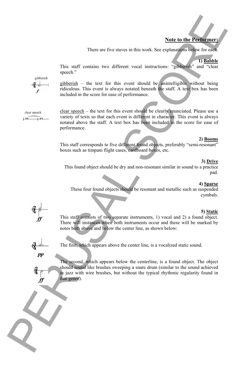## **Note to the Performer:**

There are five staves in this work. See explanations below for each.

#### **1) Babble**

This staff contains two different vocal instructions: "gibberish" and "clear speech."

gibberish – the text for this event should be unintelligible without being ridiculous. This event is always notated beneath the staff. A text box has been included in the score for ease of performance.

clear speech – the text for this event should be clearly enunciated. Please use a variety of texts so that each event is different in character. This event is always notated above the staff. A text box has been included in the score for ease of performance.

#### **2) Booms**

This staff corresponds to five different found objects, preferably "semi-resonant" boxes such as timpani flight cases, cardboard boxes, etc.



### **3) Drive**

This found object should be dry and non-resonant similar in sound to a practice pad.

#### **4) Sparse**

These four found objects should be resonant and metallic such as suspended cymbals.

### **5) Static**

This staff consists of two separate instruments, 1) vocal and 2) a found object. There will instances when both instruments occur and these will be marked by notes both above and below the center line, as shown below:

The first, which appears above the center line, is a vocalized static sound.

The second, which appears below the centerline, is a found object. The object should sound like brushes sweeping a snare drum (similar to the sound achieved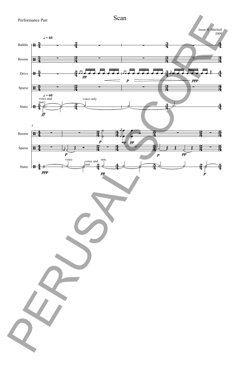

Scan

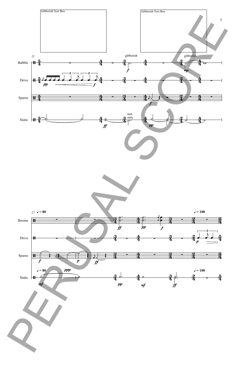